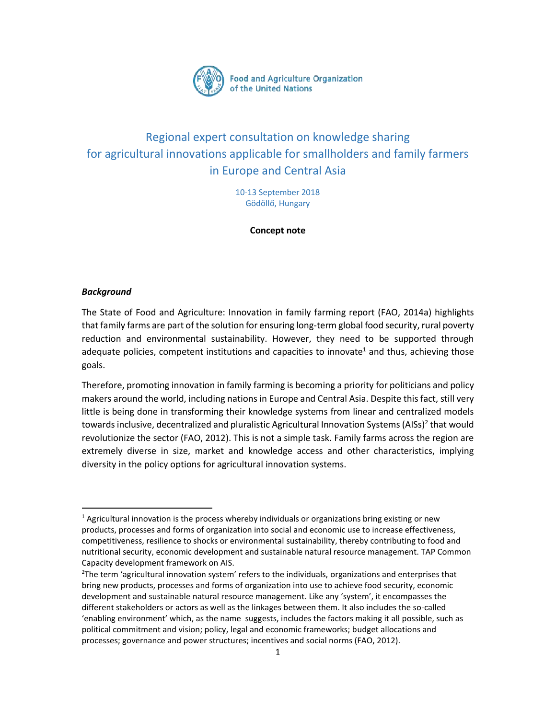

# Regional expert consultation on knowledge sharing for agricultural innovations applicable for smallholders and family farmers in Europe and Central Asia

10-13 September 2018 Gödöllő, Hungary

**Concept note**

#### *Background*

l

The State of Food and Agriculture: Innovation in family farming report (FAO, 2014a) highlights that family farms are part of the solution for ensuring long-term global food security, rural poverty reduction and environmental sustainability. However, they need to be supported through adequate policies, competent institutions and capacities to innovate<sup>1</sup> and thus, achieving those goals.

Therefore, promoting innovation in family farming is becoming a priority for politicians and policy makers around the world, including nations in Europe and Central Asia. Despite this fact, still very little is being done in transforming their knowledge systems from linear and centralized models towards inclusive, decentralized and pluralistic Agricultural Innovation Systems (AISs)<sup>2</sup> that would revolutionize the sector (FAO, 2012). This is not a simple task. Family farms across the region are extremely diverse in size, market and knowledge access and other characteristics, implying diversity in the policy options for agricultural innovation systems.

 $<sup>1</sup>$  Agricultural innovation is the process whereby individuals or organizations bring existing or new</sup> products, processes and forms of organization into social and economic use to increase effectiveness, competitiveness, resilience to shocks or environmental sustainability, thereby contributing to food and nutritional security, economic development and sustainable natural resource management. TAP Common Capacity development framework on AIS.

<sup>&</sup>lt;sup>2</sup>The term 'agricultural innovation system' refers to the individuals, organizations and enterprises that bring new products, processes and forms of organization into use to achieve food security, economic development and sustainable natural resource management. Like any 'system', it encompasses the different stakeholders or actors as well as the linkages between them. It also includes the so-called 'enabling environment' which, as the name suggests, includes the factors making it all possible, such as political commitment and vision; policy, legal and economic frameworks; budget allocations and processes; governance and power structures; incentives and social norms (FAO, 2012).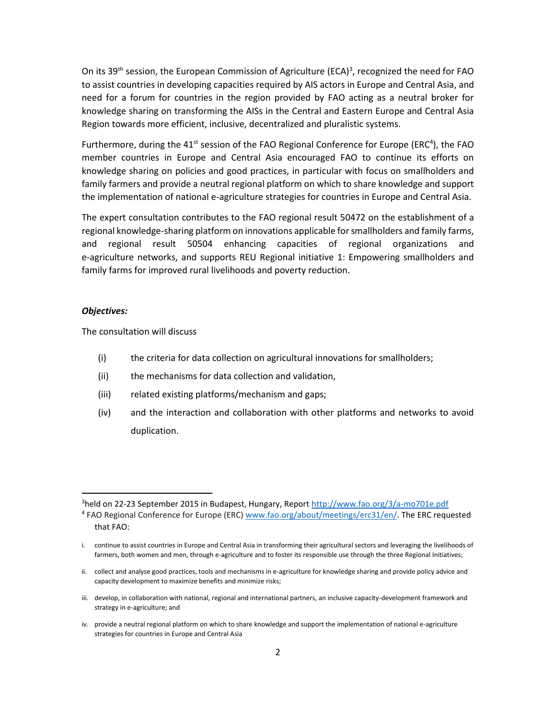On its 39<sup>th</sup> session, the European Commission of Agriculture (ECA)<sup>3</sup>, recognized the need for FAO to assist countries in developing capacities required by AIS actors in Europe and Central Asia, and need for a forum for countries in the region provided by FAO acting as a neutral broker for knowledge sharing on transforming the AISs in the Central and Eastern Europe and Central Asia Region towards more efficient, inclusive, decentralized and pluralistic systems.

Furthermore, during the  $41<sup>st</sup>$  session of the FAO Regional Conference for Europe (ERC<sup>4</sup>), the FAO member countries in Europe and Central Asia encouraged FAO to continue its efforts on knowledge sharing on policies and good practices, in particular with focus on smallholders and family farmers and provide a neutral regional platform on which to share knowledge and support the implementation of national e-agriculture strategies for countries in Europe and Central Asia.

The expert consultation contributes to the FAO regional result 50472 on the establishment of a regional knowledge-sharing platform on innovations applicable for smallholders and family farms, and regional result 50504 enhancing capacities of regional organizations and e-agriculture networks, and supports REU Regional initiative 1: Empowering smallholders and family farms for improved rural livelihoods and poverty reduction.

#### *Objectives:*

 $\overline{\phantom{a}}$ 

The consultation will discuss

- (i) the criteria for data collection on agricultural innovations for smallholders;
- (ii) the mechanisms for data collection and validation,
- (iii) related existing platforms/mechanism and gaps;
- (iv) and the interaction and collaboration with other platforms and networks to avoid duplication.

<sup>3</sup>held on 22-23 September 2015 in Budapest, Hungary, Report<http://www.fao.org/3/a-mo701e.pdf> <sup>4</sup> FAO Regional Conference for Europe (ERC[\) www.fao.org/about/meetings/erc31/en/.](http://www.fao.org/about/meetings/erc31/en/) The ERC requested that FAO:

i. continue to assist countries in Europe and Central Asia in transforming their agricultural sectors and leveraging the livelihoods of farmers, both women and men, through e-agriculture and to foster its responsible use through the three Regional Initiatives;

ii. collect and analyse good practices, tools and mechanisms in e-agriculture for knowledge sharing and provide policy advice and capacity development to maximize benefits and minimize risks;

iii. develop, in collaboration with national, regional and international partners, an inclusive capacity-development framework and strategy in e-agriculture; and

iv. provide a neutral regional platform on which to share knowledge and support the implementation of national e-agriculture strategies for countries in Europe and Central Asia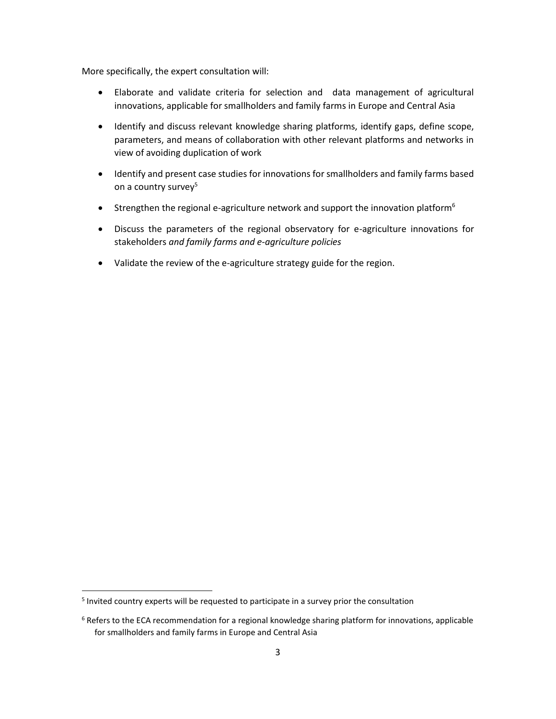More specifically, the expert consultation will:

- Elaborate and validate criteria for selection and data management of agricultural innovations, applicable for smallholders and family farms in Europe and Central Asia
- Identify and discuss relevant knowledge sharing platforms, identify gaps, define scope, parameters, and means of collaboration with other relevant platforms and networks in view of avoiding duplication of work
- Identify and present case studies for innovations for smallholders and family farms based on a country survey<sup>5</sup>
- **Strengthen the regional e-agriculture network and support the innovation platform**<sup>6</sup>
- Discuss the parameters of the regional observatory for e-agriculture innovations for stakeholders *and family farms and e-agriculture policies*
- Validate the review of the e-agriculture strategy guide for the region.

 5 Invited country experts will be requested to participate in a survey prior the consultation

 $6$  Refers to the ECA recommendation for a regional knowledge sharing platform for innovations, applicable for smallholders and family farms in Europe and Central Asia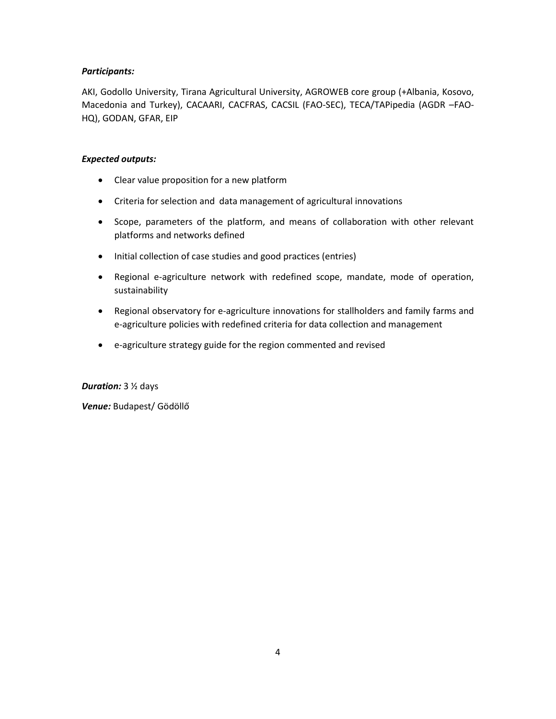# *Participants:*

AKI, Godollo University, Tirana Agricultural University, AGROWEB core group (+Albania, Kosovo, Macedonia and Turkey), CACAARI, CACFRAS, CACSIL (FAO-SEC), TECA/TAPipedia (AGDR –FAO-HQ), GODAN, GFAR, EIP

# *Expected outputs:*

- Clear value proposition for a new platform
- Criteria for selection and data management of agricultural innovations
- Scope, parameters of the platform, and means of collaboration with other relevant platforms and networks defined
- Initial collection of case studies and good practices (entries)
- Regional e-agriculture network with redefined scope, mandate, mode of operation, sustainability
- Regional observatory for e-agriculture innovations for stallholders and family farms and e-agriculture policies with redefined criteria for data collection and management
- e-agriculture strategy guide for the region commented and revised

# *Duration:* 3 ½ days

*Venue:* Budapest/ Gödöllő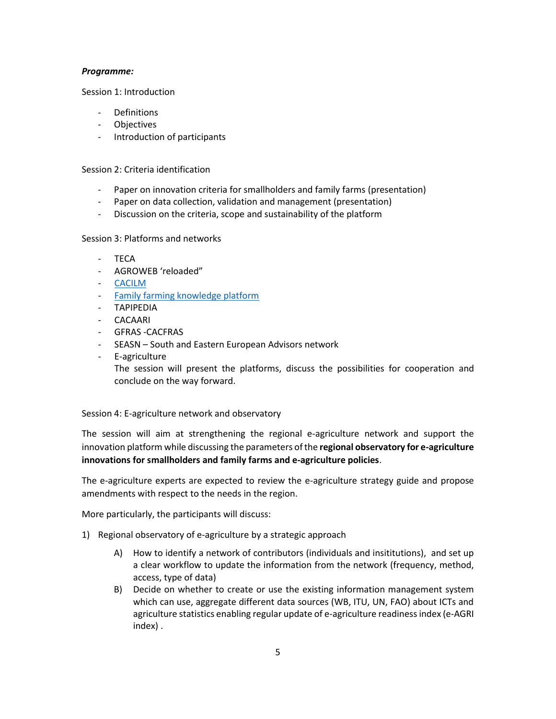#### *Programme:*

Session 1: Introduction

- Definitions
- Objectives
- Introduction of participants

#### Session 2: Criteria identification

- Paper on innovation criteria for smallholders and family farms (presentation)
- Paper on data collection, validation and management (presentation)
- Discussion on the criteria, scope and sustainability of the platform

# Session 3: Platforms and networks

- TECA
- AGROWEB 'reloaded"
- [CACILM](http://www.cacilm.org/en/)
- Family [farming knowledge platform](http://www.fao.org/family-farming/detail/en/c/339934/)
- TAPIPEDIA
- CACAARI
- GFRAS -CACFRAS
- SEASN South and Eastern European Advisors network
- E-agriculture

The session will present the platforms, discuss the possibilities for cooperation and conclude on the way forward.

# Session 4: E-agriculture network and observatory

The session will aim at strengthening the regional e-agriculture network and support the innovation platform while discussing the parameters of the **regional observatory for e-agriculture innovations for smallholders and family farms and e-agriculture policies**.

The e-agriculture experts are expected to review the e-agriculture strategy guide and propose amendments with respect to the needs in the region.

More particularly, the participants will discuss:

- 1) Regional observatory of e-agriculture by a strategic approach
	- A) How to identify a network of contributors (individuals and insititutions), and set up a clear workflow to update the information from the network (frequency, method, access, type of data)
	- B) Decide on whether to create or use the existing information management system which can use, aggregate different data sources (WB, ITU, UN, FAO) about ICTs and agriculture statistics enabling regular update of e-agriculture readiness index (e-AGRI index) .